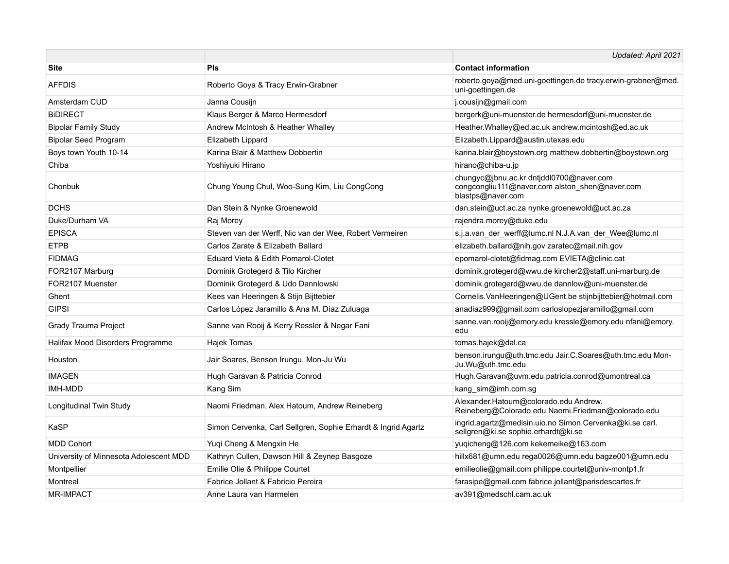|                                        |                                                               | Updated: April 2021                                                                                             |
|----------------------------------------|---------------------------------------------------------------|-----------------------------------------------------------------------------------------------------------------|
| <b>Site</b>                            | Pls                                                           | <b>Contact information</b>                                                                                      |
| <b>AFFDIS</b>                          | Roberto Goya & Tracy Erwin-Grabner                            | roberto.goya@med.uni-goettingen.de tracy.erwin-grabner@med.<br>uni-goettingen.de                                |
| Amsterdam CUD                          | Janna Cousijn                                                 | j.cousijn@gmail.com                                                                                             |
| <b>BIDIRECT</b>                        | Klaus Berger & Marco Hermesdorf                               | bergerk@uni-muenster.de hermesdorf@uni-muenster.de                                                              |
| <b>Bipolar Family Study</b>            | Andrew McIntosh & Heather Whalley                             | Heather. Whalley@ed.ac.uk andrew.mcintosh@ed.ac.uk                                                              |
| <b>Bipolar Seed Program</b>            | Elizabeth Lippard                                             | Elizabeth.Lippard@austin.utexas.edu                                                                             |
| Boys town Youth 10-14                  | Karina Blair & Matthew Dobbertin                              | karina.blair@boystown.org matthew.dobbertin@boystown.org                                                        |
| Chiba                                  | Yoshiyuki Hirano                                              | hirano@chiba-u.jp                                                                                               |
| Chonbuk                                | Chung Young Chul, Woo-Sung Kim, Liu CongCong                  | chungyc@jbnu.ac.kr dntjddl0700@naver.com<br>congcongliu111@naver.com alston_shen@naver.com<br>blastps@naver.com |
| <b>DCHS</b>                            | Dan Stein & Nynke Groenewold                                  | dan.stein@uct.ac.za nynke.groenewold@uct.ac.za                                                                  |
| Duke/Durham VA                         | Raj Morey                                                     | rajendra.morey@duke.edu                                                                                         |
| <b>EPISCA</b>                          | Steven van der Werff, Nic van der Wee, Robert Vermeiren       | s.j.a.van_der_werff@lumc.nl N.J.A.van_der_Wee@lumc.nl                                                           |
| <b>ETPB</b>                            | Carlos Zarate & Elizabeth Ballard                             | elizabeth.ballard@nih.gov zaratec@mail.nih.gov                                                                  |
| <b>FIDMAG</b>                          | Eduard Vieta & Edith Pomarol-Clotet                           | epomarol-clotet@fidmag.com EVIETA@clinic.cat                                                                    |
| FOR2107 Marburg                        | Dominik Grotegerd & Tilo Kircher                              | dominik.grotegerd@wwu.de kircher2@staff.uni-marburg.de                                                          |
| FOR2107 Muenster                       | Dominik Grotegerd & Udo Dannlowski                            | dominik.grotegerd@wwu.de dannlow@uni-muenster.de                                                                |
| Ghent                                  | Kees van Heeringen & Stijn Bijttebier                         | Cornelis.VanHeeringen@UGent.be stijnbijttebier@hotmail.com                                                      |
| <b>GIPSI</b>                           | Carlos López Jaramillo & Ana M. Díaz Zuluaga                  | anadiaz999@gmail.com carloslopezjaramillo@gmail.com                                                             |
| Grady Trauma Project                   | Sanne van Rooij & Kerry Ressler & Negar Fani                  | sanne.van.rooij@emory.edu kressle@emory.edu nfani@emory.<br>edu                                                 |
| Halifax Mood Disorders Programme       | Hajek Tomas                                                   | tomas.hajek@dal.ca                                                                                              |
| Houston                                | Jair Soares, Benson Irungu, Mon-Ju Wu                         | benson.irungu@uth.tmc.edu Jair.C.Soares@uth.tmc.edu Mon-<br>Ju.Wu@uth.tmc.edu                                   |
| <b>IMAGEN</b>                          | Hugh Garavan & Patricia Conrod                                | Hugh.Garavan@uvm.edu patricia.conrod@umontreal.ca                                                               |
| <b>IMH-MDD</b>                         | Kang Sim                                                      | kang_sim@imh.com.sg                                                                                             |
| Longitudinal Twin Study                | Naomi Friedman, Alex Hatoum, Andrew Reineberg                 | Alexander.Hatoum@colorado.edu Andrew.<br>Reineberg@Colorado.edu Naomi.Friedman@colorado.edu                     |
| <b>KaSP</b>                            | Simon Cervenka, Carl Sellgren, Sophie Erhardt & Ingrid Agartz | ingrid.agartz@medisin.uio.no Simon.Cervenka@ki.se carl.<br>sellgren@ki.se sophie.erhardt@ki.se                  |
| <b>MDD Cohort</b>                      | Yuqi Cheng & Mengxin He                                       | yuqicheng@126.com kekemeike@163.com                                                                             |
| University of Minnesota Adolescent MDD | Kathryn Cullen, Dawson Hill & Zeynep Basgoze                  | hillx681@umn.edu rega0026@umn.edu bagze001@umn.edu                                                              |
| Montpellier                            | Emilie Olie & Philippe Courtet                                | emilieolie@gmail.com philippe.courtet@univ-montp1.fr                                                            |
| Montreal                               | Fabrice Jollant & Fabricio Pereira                            | farasipe@gmail.com fabrice.jollant@parisdescartes.fr                                                            |
| <b>MR-IMPACT</b>                       | Anne Laura van Harmelen                                       | av391@medschl.cam.ac.uk                                                                                         |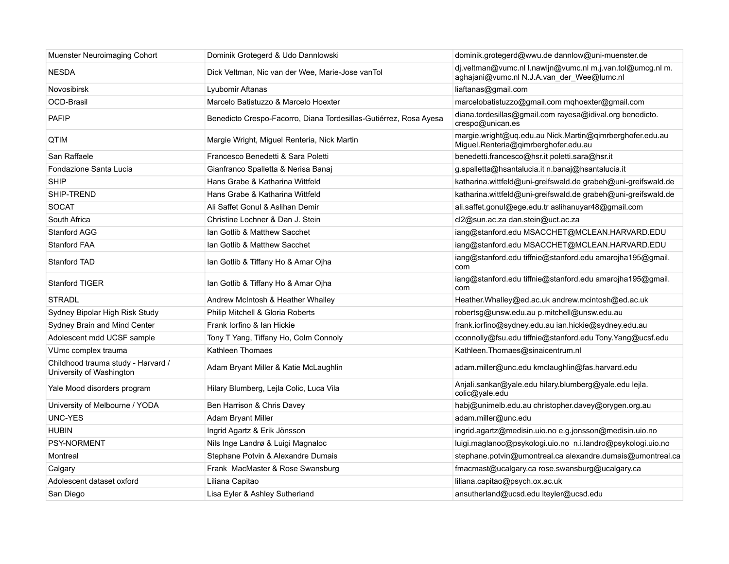| Muenster Neuroimaging Cohort                                   | Dominik Grotegerd & Udo Dannlowski                                | dominik.grotegerd@wwu.de dannlow@uni-muenster.de                                                         |
|----------------------------------------------------------------|-------------------------------------------------------------------|----------------------------------------------------------------------------------------------------------|
| <b>NESDA</b>                                                   | Dick Veltman, Nic van der Wee, Marie-Jose vanTol                  | dj.veltman@vumc.nl l.nawijn@vumc.nl m.j.van.tol@umcg.nl m.<br>aghajani@vumc.nl N.J.A.van_der_Wee@lumc.nl |
| <b>Novosibirsk</b>                                             | Lyubomir Aftanas                                                  | liaftanas@gmail.com                                                                                      |
| <b>OCD-Brasil</b>                                              | Marcelo Batistuzzo & Marcelo Hoexter                              | marcelobatistuzzo@gmail.com mqhoexter@gmail.com                                                          |
| <b>PAFIP</b>                                                   | Benedicto Crespo-Facorro, Diana Tordesillas-Gutiérrez, Rosa Ayesa | diana.tordesillas@gmail.com rayesa@idival.org benedicto.<br>crespo@unican.es                             |
| QTIM                                                           | Margie Wright, Miguel Renteria, Nick Martin                       | margie.wright@uq.edu.au Nick.Martin@qimrberghofer.edu.au<br>Miguel.Renteria@qimrberghofer.edu.au         |
| San Raffaele                                                   | Francesco Benedetti & Sara Poletti                                | benedetti.francesco@hsr.it poletti.sara@hsr.it                                                           |
| Fondazione Santa Lucia                                         | Gianfranco Spalletta & Nerisa Banaj                               | g.spalletta@hsantalucia.it n.banaj@hsantalucia.it                                                        |
| <b>SHIP</b>                                                    | Hans Grabe & Katharina Wittfeld                                   | katharina.wittfeld@uni-greifswald.de grabeh@uni-greifswald.de                                            |
| SHIP-TREND                                                     | Hans Grabe & Katharina Wittfeld                                   | katharina.wittfeld@uni-greifswald.de grabeh@uni-greifswald.de                                            |
| <b>SOCAT</b>                                                   | Ali Saffet Gonul & Aslihan Demir                                  | ali.saffet.gonul@ege.edu.tr aslihanuyar48@gmail.com                                                      |
| South Africa                                                   | Christine Lochner & Dan J. Stein                                  | cl2@sun.ac.za dan.stein@uct.ac.za                                                                        |
| <b>Stanford AGG</b>                                            | Ian Gotlib & Matthew Sacchet                                      | iang@stanford.edu MSACCHET@MCLEAN.HARVARD.EDU                                                            |
| <b>Stanford FAA</b>                                            | Ian Gotlib & Matthew Sacchet                                      | iang@stanford.edu MSACCHET@MCLEAN.HARVARD.EDU                                                            |
| Stanford TAD                                                   | Ian Gotlib & Tiffany Ho & Amar Ojha                               | iang@stanford.edu tiffnie@stanford.edu amarojha195@gmail.<br>com                                         |
| <b>Stanford TIGER</b>                                          | Ian Gotlib & Tiffany Ho & Amar Ojha                               | iang@stanford.edu tiffnie@stanford.edu amarojha195@gmail.<br>com                                         |
| <b>STRADL</b>                                                  | Andrew McIntosh & Heather Whalley                                 | Heather. Whalley@ed.ac.uk andrew.mcintosh@ed.ac.uk                                                       |
| Sydney Bipolar High Risk Study                                 | Philip Mitchell & Gloria Roberts                                  | robertsg@unsw.edu.au p.mitchell@unsw.edu.au                                                              |
| Sydney Brain and Mind Center                                   | Frank lorfino & lan Hickie                                        | frank.iorfino@sydney.edu.au ian.hickie@sydney.edu.au                                                     |
| Adolescent mdd UCSF sample                                     | Tony T Yang, Tiffany Ho, Colm Connoly                             | cconnolly@fsu.edu tiffnie@stanford.edu Tony.Yang@ucsf.edu                                                |
| VUmc complex trauma                                            | Kathleen Thomaes                                                  | Kathleen. Thomaes@sinaicentrum.nl                                                                        |
| Childhood trauma study - Harvard /<br>University of Washington | Adam Bryant Miller & Katie McLaughlin                             | adam.miller@unc.edu kmclaughlin@fas.harvard.edu                                                          |
| Yale Mood disorders program                                    | Hilary Blumberg, Lejla Colic, Luca Vila                           | Anjali.sankar@yale.edu hilary.blumberg@yale.edu lejla.<br>colic@yale.edu                                 |
| University of Melbourne / YODA                                 | Ben Harrison & Chris Davey                                        | habj@unimelb.edu.au christopher.davey@orygen.org.au                                                      |
| UNC-YES                                                        | Adam Bryant Miller                                                | adam.miller@unc.edu                                                                                      |
| <b>HUBIN</b>                                                   | Ingrid Agartz & Erik Jönsson                                      | ingrid.agartz@medisin.uio.no e.g.jonsson@medisin.uio.no                                                  |
| <b>PSY-NORMENT</b>                                             | Nils Inge Landrø & Luigi Magnaloc                                 | luigi.maglanoc@psykologi.uio.no n.i.landro@psykologi.uio.no                                              |
| Montreal                                                       | Stephane Potvin & Alexandre Dumais                                | stephane.potvin@umontreal.ca alexandre.dumais@umontreal.ca                                               |
| Calgary                                                        | Frank MacMaster & Rose Swansburg                                  | fmacmast@ucalgary.ca rose.swansburg@ucalgary.ca                                                          |
| Adolescent dataset oxford                                      | Liliana Capitao                                                   | liliana.capitao@psych.ox.ac.uk                                                                           |
| San Diego                                                      | Lisa Eyler & Ashley Sutherland                                    | ansutherland@ucsd.edu lteyler@ucsd.edu                                                                   |